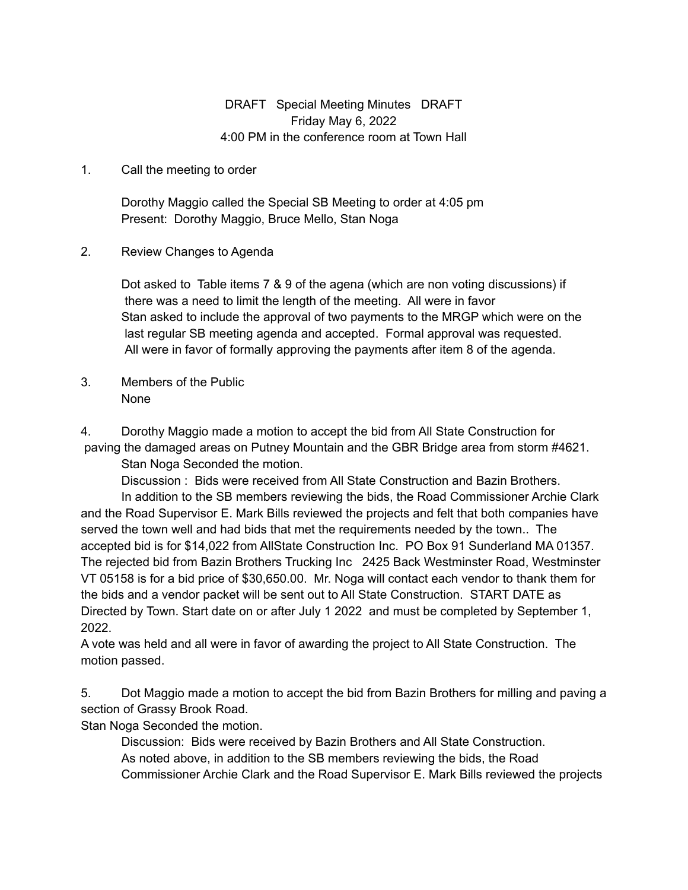## DRAFT Special Meeting Minutes DRAFT Friday May 6, 2022 4:00 PM in the conference room at Town Hall

## 1. Call the meeting to order

Dorothy Maggio called the Special SB Meeting to order at 4:05 pm Present: Dorothy Maggio, Bruce Mello, Stan Noga

2. Review Changes to Agenda

Dot asked to Table items 7 & 9 of the agena (which are non voting discussions) if there was a need to limit the length of the meeting. All were in favor Stan asked to include the approval of two payments to the MRGP which were on the last regular SB meeting agenda and accepted. Formal approval was requested. All were in favor of formally approving the payments after item 8 of the agenda.

3. Members of the Public None

4. Dorothy Maggio made a motion to accept the bid from All State Construction for paving the damaged areas on Putney Mountain and the GBR Bridge area from storm #4621.

Stan Noga Seconded the motion.

Discussion : Bids were received from All State Construction and Bazin Brothers. In addition to the SB members reviewing the bids, the Road Commissioner Archie Clark and the Road Supervisor E. Mark Bills reviewed the projects and felt that both companies have served the town well and had bids that met the requirements needed by the town.. The accepted bid is for \$14,022 from AllState Construction Inc. PO Box 91 Sunderland MA 01357. The rejected bid from Bazin Brothers Trucking Inc 2425 Back Westminster Road, Westminster VT 05158 is for a bid price of \$30,650.00. Mr. Noga will contact each vendor to thank them for the bids and a vendor packet will be sent out to All State Construction. START DATE as Directed by Town. Start date on or after July 1 2022 and must be completed by September 1, 2022.

A vote was held and all were in favor of awarding the project to All State Construction. The motion passed.

5. Dot Maggio made a motion to accept the bid from Bazin Brothers for milling and paving a section of Grassy Brook Road.

Stan Noga Seconded the motion.

Discussion: Bids were received by Bazin Brothers and All State Construction. As noted above, in addition to the SB members reviewing the bids, the Road Commissioner Archie Clark and the Road Supervisor E. Mark Bills reviewed the projects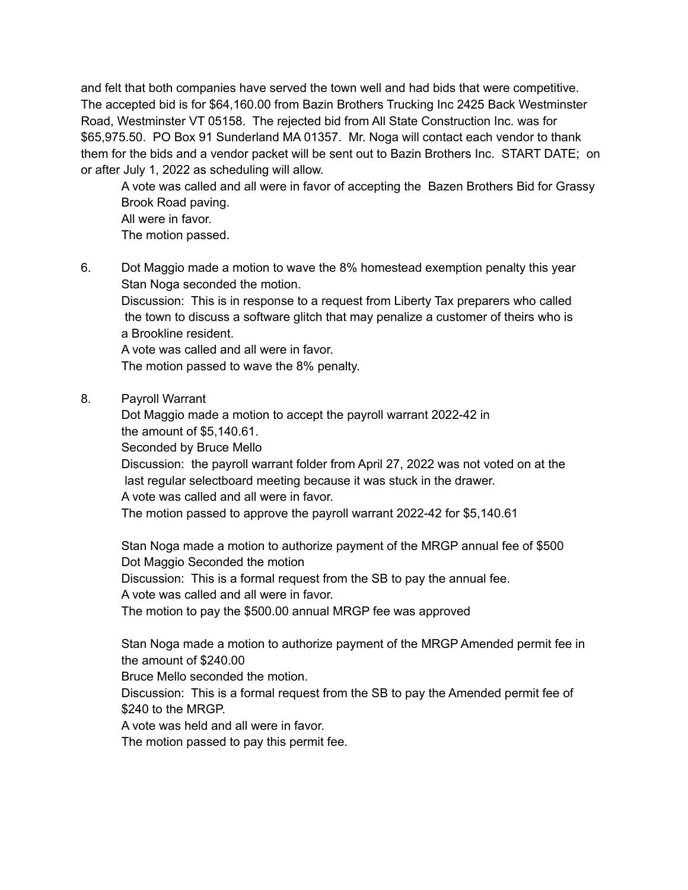and felt that both companies have served the town well and had bids that were competitive. The accepted bid is for \$64,160.00 from Bazin Brothers Trucking Inc 2425 Back Westminster Road, Westminster VT 05158. The rejected bid from All State Construction Inc. was for \$65,975.50. PO Box 91 Sunderland MA 01357. Mr. Noga will contact each vendor to thank them for the bids and a vendor packet will be sent out to Bazin Brothers Inc. START DATE; on or after July 1, 2022 as scheduling will allow.

A vote was called and all were in favor of accepting the Bazen Brothers Bid for Grassy Brook Road paving. All were in favor. The motion passed.

6. Dot Maggio made a motion to wave the 8% homestead exemption penalty this year Stan Noga seconded the motion.

Discussion: This is in response to a request from Liberty Tax preparers who called the town to discuss a software glitch that may penalize a customer of theirs who is a Brookline resident.

A vote was called and all were in favor.

The motion passed to wave the 8% penalty.

8. Payroll Warrant

Dot Maggio made a motion to accept the payroll warrant 2022-42 in the amount of \$5,140.61.

Seconded by Bruce Mello

Discussion: the payroll warrant folder from April 27, 2022 was not voted on at the last regular selectboard meeting because it was stuck in the drawer. A vote was called and all were in favor.

The motion passed to approve the payroll warrant 2022-42 for \$5,140.61

Stan Noga made a motion to authorize payment of the MRGP annual fee of \$500 Dot Maggio Seconded the motion Discussion: This is a formal request from the SB to pay the annual fee.

A vote was called and all were in favor.

The motion to pay the \$500.00 annual MRGP fee was approved

Stan Noga made a motion to authorize payment of the MRGP Amended permit fee in the amount of \$240.00

Bruce Mello seconded the motion.

Discussion: This is a formal request from the SB to pay the Amended permit fee of \$240 to the MRGP.

A vote was held and all were in favor.

The motion passed to pay this permit fee.